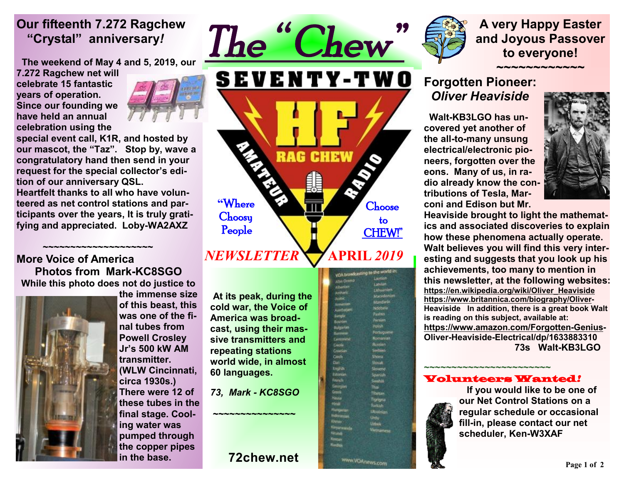### **Our fifteenth 7.272 Ragchew "Crystal" anniversary***!*

 **The weekend of May 4 and 5, 2019, our** 

**7.272 Ragchew net will celebrate 15 fantastic years of operation. Since our founding we have held an annual celebration using the** 



**special event call, K1R, and hosted by our mascot, the "Taz". Stop by, wave a congratulatory hand then send in your request for the special collector's edition of our anniversary QSL.** 

**Heartfelt thanks to all who have volunteered as net control stations and participants over the years, It is truly gratifying and appreciated. Loby-WA2AXZ** 

#### **~~~~~~~~~~~~~~~~~~~~~ More Voice of America Photos from Mark-KC8SGO While this photo does not do justice to**



**the immense size of this beast, this was one of the final tubes from Powell Crosley Jr's 500 kW AM transmitter. (WLW Cincinnati, circa 1930s.) There were 12 of these tubes in the final stage. Cooling water was pumped through the copper pipes in the base.**

**At its peak, during the cold war, the Voice of America was broadcast, using their massive transmitters and repeating stations world wide, in almost 60 languages.** 

**"**Where **Choosy** People

*NEWSLETTER* 

*73, Mark - KC8SGO* 

**~~~~~~~~~~~~~~~** 

### **72chew.net**



**Choose**  to CHEW!"

Constant

Mitchen

Fortugues

**Mark Tusi** 

igrigna

ww.VOAnews.com

 **APRIL** *2019* 

**VOA broadcasting to the w** 

ilanglii<br>Riishkan Bulgarian

Cardonics Ceste<br>Cruatur **Cards** n. English Eitonian French

**Raggia** 

Hindi

**SEVENTY-TWO** 

**RAG CHEW** 

**A very Happy Easter and Joyous Passover to everyone!** 

### **~~~~~~~~~~~~ Forgotten Pioneer:** *Oliver Heaviside*

 **Walt-KB3LGO has uncovered yet another of the all-to-many unsung electrical/electronic pioneers, forgotten over the eons. Many of us, in radio already know the contributions of Tesla, Marconi and Edison but Mr.** 



**Heaviside brought to light the mathematics and associated discoveries to explain how these phenomena actually operate. Walt believes you will find this very interesting and suggests that you look up his achievements, too many to mention in this newsletter, at the following websites: [https://en.wikipedia.org/wiki/Oliver\\_Heaviside](https://en.wikipedia.org/wiki/Oliver_Heaviside) [https://www.britannica.com/biography/Oliver-](https://www.britannica.com/biography/Oliver)Heaviside In addition, there is a great book Walt is reading on this subject, available at: <https://www.amazon.com/Forgotten-Genius>-Oliver-Heaviside-Electrical/dp/1633883310 73s Walt-KB3LGO** 

#### **~~~~~~~~~~~~~~~~~~~~~~~** Volunteers Wanted*!*



 **If you would like to be one of our Net Control Stations on a regular schedule or occasional fill-in, please contact our net scheduler, Ken-W3XAF**